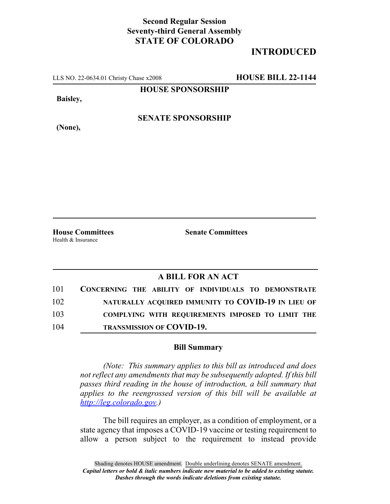## **Second Regular Session Seventy-third General Assembly STATE OF COLORADO**

## **INTRODUCED**

LLS NO. 22-0634.01 Christy Chase x2008 **HOUSE BILL 22-1144**

**HOUSE SPONSORSHIP**

**Baisley,**

**(None),**

**SENATE SPONSORSHIP**

Health & Insurance

**House Committees Senate Committees**

## **A BILL FOR AN ACT**

| 101 | CONCERNING THE ABILITY OF INDIVIDUALS TO DEMONSTRATE |
|-----|------------------------------------------------------|
| 102 | NATURALLY ACQUIRED IMMUNITY TO COVID-19 IN LIEU OF   |
| 103 | COMPLYING WITH REQUIREMENTS IMPOSED TO LIMIT THE     |
| 104 | <b>TRANSMISSION OF COVID-19.</b>                     |

## **Bill Summary**

*(Note: This summary applies to this bill as introduced and does not reflect any amendments that may be subsequently adopted. If this bill passes third reading in the house of introduction, a bill summary that applies to the reengrossed version of this bill will be available at http://leg.colorado.gov.)*

The bill requires an employer, as a condition of employment, or a state agency that imposes a COVID-19 vaccine or testing requirement to allow a person subject to the requirement to instead provide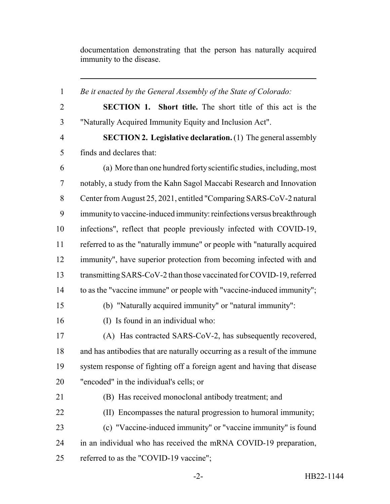documentation demonstrating that the person has naturally acquired immunity to the disease.

 *Be it enacted by the General Assembly of the State of Colorado:* **SECTION 1. Short title.** The short title of this act is the "Naturally Acquired Immunity Equity and Inclusion Act". **SECTION 2. Legislative declaration.** (1) The general assembly finds and declares that: (a) More than one hundred forty scientific studies, including, most notably, a study from the Kahn Sagol Maccabi Research and Innovation Center from August 25, 2021, entitled "Comparing SARS-CoV-2 natural immunity to vaccine-induced immunity: reinfections versus breakthrough infections", reflect that people previously infected with COVID-19, referred to as the "naturally immune" or people with "naturally acquired immunity", have superior protection from becoming infected with and transmitting SARS-CoV-2 than those vaccinated for COVID-19, referred to as the "vaccine immune" or people with "vaccine-induced immunity"; (b) "Naturally acquired immunity" or "natural immunity": (I) Is found in an individual who: (A) Has contracted SARS-CoV-2, has subsequently recovered, and has antibodies that are naturally occurring as a result of the immune system response of fighting off a foreign agent and having that disease "encoded" in the individual's cells; or (B) Has received monoclonal antibody treatment; and (II) Encompasses the natural progression to humoral immunity; (c) "Vaccine-induced immunity" or "vaccine immunity" is found in an individual who has received the mRNA COVID-19 preparation, referred to as the "COVID-19 vaccine";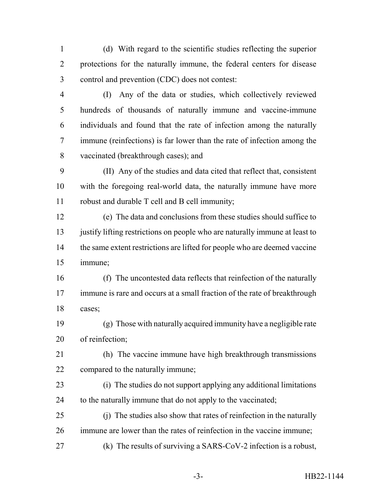(d) With regard to the scientific studies reflecting the superior protections for the naturally immune, the federal centers for disease control and prevention (CDC) does not contest:

 (I) Any of the data or studies, which collectively reviewed hundreds of thousands of naturally immune and vaccine-immune individuals and found that the rate of infection among the naturally immune (reinfections) is far lower than the rate of infection among the vaccinated (breakthrough cases); and

 (II) Any of the studies and data cited that reflect that, consistent with the foregoing real-world data, the naturally immune have more robust and durable T cell and B cell immunity;

 (e) The data and conclusions from these studies should suffice to 13 justify lifting restrictions on people who are naturally immune at least to 14 the same extent restrictions are lifted for people who are deemed vaccine immune;

 (f) The uncontested data reflects that reinfection of the naturally immune is rare and occurs at a small fraction of the rate of breakthrough cases;

 (g) Those with naturally acquired immunity have a negligible rate of reinfection;

 (h) The vaccine immune have high breakthrough transmissions compared to the naturally immune;

 (i) The studies do not support applying any additional limitations 24 to the naturally immune that do not apply to the vaccinated;

 (j) The studies also show that rates of reinfection in the naturally immune are lower than the rates of reinfection in the vaccine immune;

(k) The results of surviving a SARS-CoV-2 infection is a robust,

-3- HB22-1144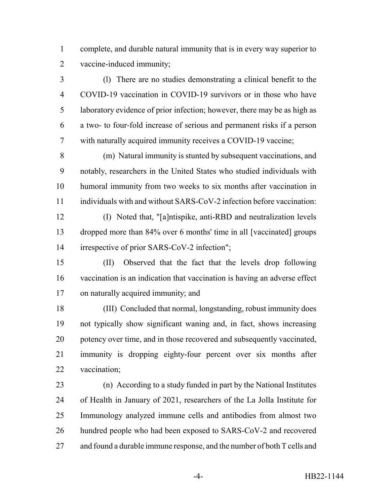complete, and durable natural immunity that is in every way superior to vaccine-induced immunity;

 (l) There are no studies demonstrating a clinical benefit to the COVID-19 vaccination in COVID-19 survivors or in those who have laboratory evidence of prior infection; however, there may be as high as a two- to four-fold increase of serious and permanent risks if a person with naturally acquired immunity receives a COVID-19 vaccine;

 (m) Natural immunity is stunted by subsequent vaccinations, and notably, researchers in the United States who studied individuals with humoral immunity from two weeks to six months after vaccination in individuals with and without SARS-CoV-2 infection before vaccination:

 (I) Noted that, "[a]ntispike, anti-RBD and neutralization levels dropped more than 84% over 6 months' time in all [vaccinated] groups irrespective of prior SARS-CoV-2 infection";

 (II) Observed that the fact that the levels drop following vaccination is an indication that vaccination is having an adverse effect on naturally acquired immunity; and

 (III) Concluded that normal, longstanding, robust immunity does not typically show significant waning and, in fact, shows increasing potency over time, and in those recovered and subsequently vaccinated, immunity is dropping eighty-four percent over six months after vaccination;

 (n) According to a study funded in part by the National Institutes of Health in January of 2021, researchers of the La Jolla Institute for Immunology analyzed immune cells and antibodies from almost two hundred people who had been exposed to SARS-CoV-2 and recovered 27 and found a durable immune response, and the number of both T cells and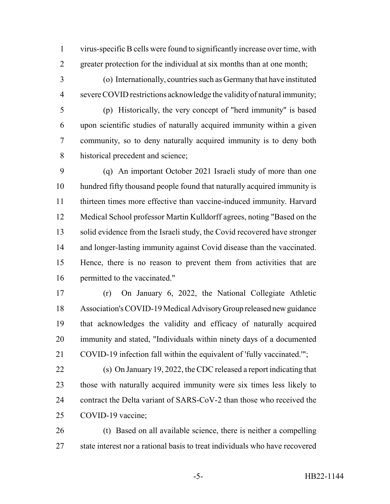virus-specific B cells were found to significantly increase over time, with greater protection for the individual at six months than at one month;

 (o) Internationally, countries such as Germany that have instituted severe COVID restrictions acknowledge the validity of natural immunity;

 (p) Historically, the very concept of "herd immunity" is based upon scientific studies of naturally acquired immunity within a given community, so to deny naturally acquired immunity is to deny both historical precedent and science;

 (q) An important October 2021 Israeli study of more than one hundred fifty thousand people found that naturally acquired immunity is thirteen times more effective than vaccine-induced immunity. Harvard Medical School professor Martin Kulldorff agrees, noting "Based on the solid evidence from the Israeli study, the Covid recovered have stronger and longer-lasting immunity against Covid disease than the vaccinated. Hence, there is no reason to prevent them from activities that are permitted to the vaccinated."

 (r) On January 6, 2022, the National Collegiate Athletic Association's COVID-19 Medical Advisory Group released new guidance that acknowledges the validity and efficacy of naturally acquired immunity and stated, "Individuals within ninety days of a documented COVID-19 infection fall within the equivalent of 'fully vaccinated.'";

 (s) On January 19, 2022, the CDC released a report indicating that those with naturally acquired immunity were six times less likely to contract the Delta variant of SARS-CoV-2 than those who received the COVID-19 vaccine;

 (t) Based on all available science, there is neither a compelling state interest nor a rational basis to treat individuals who have recovered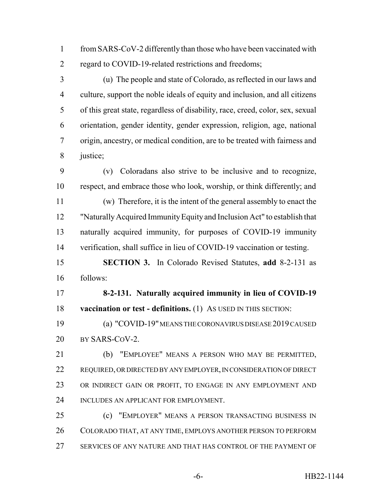from SARS-CoV-2 differently than those who have been vaccinated with regard to COVID-19-related restrictions and freedoms;

 (u) The people and state of Colorado, as reflected in our laws and culture, support the noble ideals of equity and inclusion, and all citizens of this great state, regardless of disability, race, creed, color, sex, sexual orientation, gender identity, gender expression, religion, age, national origin, ancestry, or medical condition, are to be treated with fairness and justice;

 (v) Coloradans also strive to be inclusive and to recognize, respect, and embrace those who look, worship, or think differently; and

 (w) Therefore, it is the intent of the general assembly to enact the "Naturally Acquired Immunity Equity and Inclusion Act" to establish that naturally acquired immunity, for purposes of COVID-19 immunity verification, shall suffice in lieu of COVID-19 vaccination or testing.

 **SECTION 3.** In Colorado Revised Statutes, **add** 8-2-131 as follows:

 **8-2-131. Naturally acquired immunity in lieu of COVID-19 vaccination or test - definitions.** (1) AS USED IN THIS SECTION:

 (a) "COVID-19" MEANS THE CORONAVIRUS DISEASE 2019 CAUSED 20 BY SARS-COV-2.

 (b) "EMPLOYEE" MEANS A PERSON WHO MAY BE PERMITTED, REQUIRED, OR DIRECTED BY ANY EMPLOYER, IN CONSIDERATION OF DIRECT 23 OR INDIRECT GAIN OR PROFIT, TO ENGAGE IN ANY EMPLOYMENT AND INCLUDES AN APPLICANT FOR EMPLOYMENT.

 (c) "EMPLOYER" MEANS A PERSON TRANSACTING BUSINESS IN COLORADO THAT, AT ANY TIME, EMPLOYS ANOTHER PERSON TO PERFORM SERVICES OF ANY NATURE AND THAT HAS CONTROL OF THE PAYMENT OF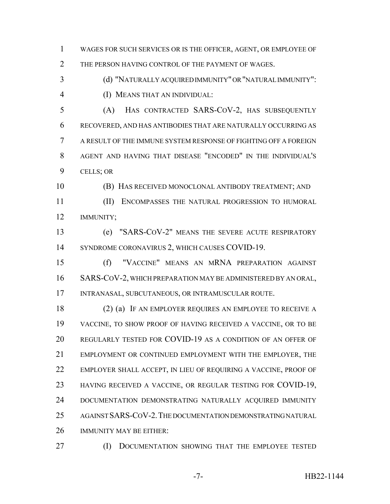WAGES FOR SUCH SERVICES OR IS THE OFFICER, AGENT, OR EMPLOYEE OF 2 THE PERSON HAVING CONTROL OF THE PAYMENT OF WAGES.

 (d) "NATURALLY ACQUIRED IMMUNITY" OR "NATURAL IMMUNITY": (I) MEANS THAT AN INDIVIDUAL:

 (A) HAS CONTRACTED SARS-COV-2, HAS SUBSEQUENTLY RECOVERED, AND HAS ANTIBODIES THAT ARE NATURALLY OCCURRING AS A RESULT OF THE IMMUNE SYSTEM RESPONSE OF FIGHTING OFF A FOREIGN AGENT AND HAVING THAT DISEASE "ENCODED" IN THE INDIVIDUAL'S CELLS; OR

(B) HAS RECEIVED MONOCLONAL ANTIBODY TREATMENT; AND

 (II) ENCOMPASSES THE NATURAL PROGRESSION TO HUMORAL IMMUNITY;

 (e) "SARS-COV-2" MEANS THE SEVERE ACUTE RESPIRATORY SYNDROME CORONAVIRUS 2, WHICH CAUSES COVID-19.

 (f) "VACCINE" MEANS AN MRNA PREPARATION AGAINST SARS-COV-2, WHICH PREPARATION MAY BE ADMINISTERED BY AN ORAL, INTRANASAL, SUBCUTANEOUS, OR INTRAMUSCULAR ROUTE.

 (2) (a) IF AN EMPLOYER REQUIRES AN EMPLOYEE TO RECEIVE A VACCINE, TO SHOW PROOF OF HAVING RECEIVED A VACCINE, OR TO BE REGULARLY TESTED FOR COVID-19 AS A CONDITION OF AN OFFER OF EMPLOYMENT OR CONTINUED EMPLOYMENT WITH THE EMPLOYER, THE EMPLOYER SHALL ACCEPT, IN LIEU OF REQUIRING A VACCINE, PROOF OF HAVING RECEIVED A VACCINE, OR REGULAR TESTING FOR COVID-19, DOCUMENTATION DEMONSTRATING NATURALLY ACQUIRED IMMUNITY AGAINST SARS-COV-2.THE DOCUMENTATION DEMONSTRATING NATURAL IMMUNITY MAY BE EITHER:

(I) DOCUMENTATION SHOWING THAT THE EMPLOYEE TESTED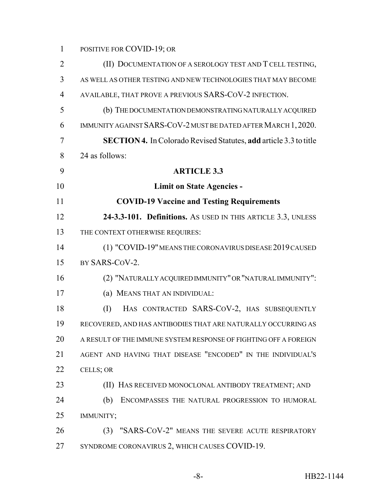POSITIVE FOR COVID-19; OR

| $\overline{2}$ | (II) DOCUMENTATION OF A SEROLOGY TEST AND T CELL TESTING,                |
|----------------|--------------------------------------------------------------------------|
| 3              | AS WELL AS OTHER TESTING AND NEW TECHNOLOGIES THAT MAY BECOME            |
| 4              | AVAILABLE, THAT PROVE A PREVIOUS SARS-COV-2 INFECTION.                   |
| 5              | (b) THE DOCUMENTATION DEMONSTRATING NATURALLY ACQUIRED                   |
| 6              | IMMUNITY AGAINST SARS-COV-2 MUST BE DATED AFTER MARCH 1, 2020.           |
| 7              | <b>SECTION 4.</b> In Colorado Revised Statutes, add article 3.3 to title |
| 8              | 24 as follows:                                                           |
| 9              | <b>ARTICLE 3.3</b>                                                       |
| 10             | <b>Limit on State Agencies -</b>                                         |
| 11             | <b>COVID-19 Vaccine and Testing Requirements</b>                         |
| 12             | 24-3.3-101. Definitions. As USED IN THIS ARTICLE 3.3, UNLESS             |
| 13             | THE CONTEXT OTHERWISE REQUIRES:                                          |
| 14             | (1) "COVID-19" MEANS THE CORONAVIRUS DISEASE 2019 CAUSED                 |
| 15             | BY SARS-COV-2.                                                           |
| 16             | (2) "NATURALLY ACQUIRED IMMUNITY" OR "NATURAL IMMUNITY":                 |
| 17             | (a) MEANS THAT AN INDIVIDUAL:                                            |
| 18             | HAS CONTRACTED SARS-COV-2, HAS SUBSEQUENTLY<br>(I)                       |
| 19             | RECOVERED, AND HAS ANTIBODIES THAT ARE NATURALLY OCCURRING AS            |
| 20             | A RESULT OF THE IMMUNE SYSTEM RESPONSE OF FIGHTING OFF A FOREIGN         |
| 21             | AGENT AND HAVING THAT DISEASE "ENCODED" IN THE INDIVIDUAL'S              |
| 22             | CELLS; OR                                                                |
| 23             | (II) HAS RECEIVED MONOCLONAL ANTIBODY TREATMENT; AND                     |
| 24             | (b)<br>ENCOMPASSES THE NATURAL PROGRESSION TO HUMORAL                    |
| 25             | IMMUNITY;                                                                |
| 26             | (3) "SARS-COV-2" MEANS THE SEVERE ACUTE RESPIRATORY                      |
| 27             | SYNDROME CORONAVIRUS 2, WHICH CAUSES COVID-19.                           |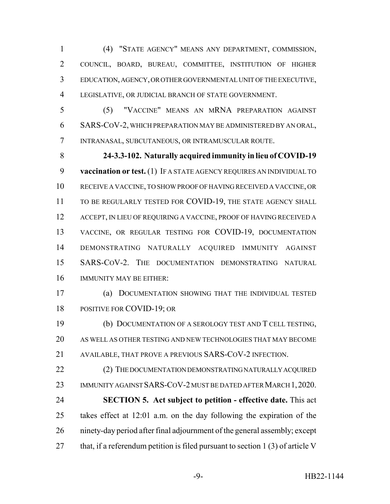(4) "STATE AGENCY" MEANS ANY DEPARTMENT, COMMISSION, COUNCIL, BOARD, BUREAU, COMMITTEE, INSTITUTION OF HIGHER EDUCATION, AGENCY, OR OTHER GOVERNMENTAL UNIT OF THE EXECUTIVE, LEGISLATIVE, OR JUDICIAL BRANCH OF STATE GOVERNMENT.

 (5) "VACCINE" MEANS AN MRNA PREPARATION AGAINST SARS-COV-2, WHICH PREPARATION MAY BE ADMINISTERED BY AN ORAL, INTRANASAL, SUBCUTANEOUS, OR INTRAMUSCULAR ROUTE.

 **24-3.3-102. Naturally acquired immunity in lieu of COVID-19 vaccination or test.** (1) IF A STATE AGENCY REQUIRES AN INDIVIDUAL TO RECEIVE A VACCINE, TO SHOW PROOF OF HAVING RECEIVED A VACCINE, OR 11 TO BE REGULARLY TESTED FOR COVID-19, THE STATE AGENCY SHALL 12 ACCEPT, IN LIEU OF REQUIRING A VACCINE, PROOF OF HAVING RECEIVED A VACCINE, OR REGULAR TESTING FOR COVID-19, DOCUMENTATION DEMONSTRATING NATURALLY ACQUIRED IMMUNITY AGAINST SARS-COV-2. THE DOCUMENTATION DEMONSTRATING NATURAL IMMUNITY MAY BE EITHER:

 (a) DOCUMENTATION SHOWING THAT THE INDIVIDUAL TESTED POSITIVE FOR COVID-19; OR

 (b) DOCUMENTATION OF A SEROLOGY TEST AND T CELL TESTING, AS WELL AS OTHER TESTING AND NEW TECHNOLOGIES THAT MAY BECOME AVAILABLE, THAT PROVE A PREVIOUS SARS-COV-2 INFECTION.

22 (2) THE DOCUMENTATION DEMONSTRATING NATURALLY ACQUIRED 23 IMMUNITY AGAINST SARS-COV-2 MUST BE DATED AFTER MARCH 1, 2020. **SECTION 5. Act subject to petition - effective date.** This act takes effect at 12:01 a.m. on the day following the expiration of the ninety-day period after final adjournment of the general assembly; except 27 that, if a referendum petition is filed pursuant to section 1 (3) of article V